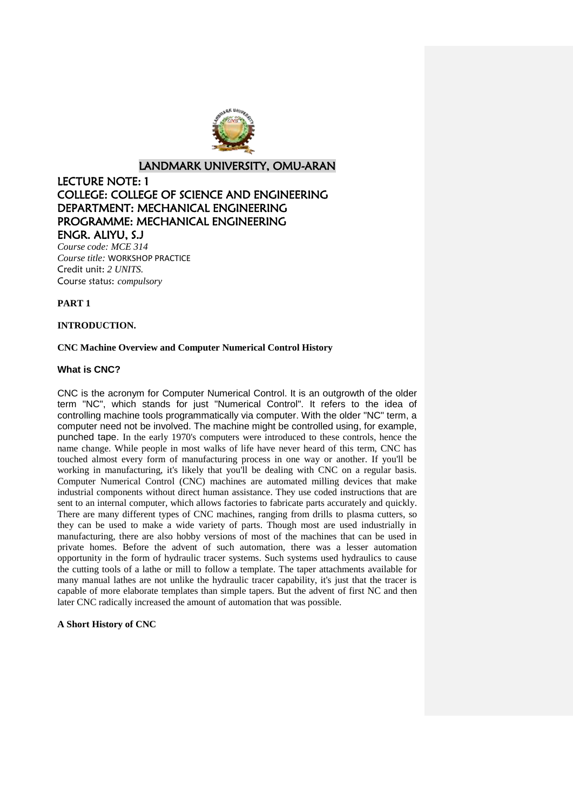

# LANDMARK UNIVERSITY, OMU-ARAN

# LECTURE NOTE: 1 COLLEGE: COLLEGE OF SCIENCE AND ENGINEERING DEPARTMENT: MECHANICAL ENGINEERING PROGRAMME: MECHANICAL ENGINEERING ENGR. ALIYU, S.J

*Course code: MCE 314 Course title:* WORKSHOP PRACTICE Credit unit: *2 UNITS.* Course status: *compulsory*

# **PART 1**

## **INTRODUCTION.**

## **CNC Machine Overview and Computer Numerical Control History**

## **What is CNC?**

CNC is the acronym for Computer Numerical Control. It is an outgrowth of the older term "NC", which stands for just "Numerical Control". It refers to the idea of controlling machine tools programmatically via computer. With the older "NC" term, a computer need not be involved. The machine might be controlled using, for example, punched tape. In the early 1970's computers were introduced to these controls, hence the name change. While people in most walks of life have never heard of this term, CNC has touched almost every form of manufacturing process in one way or another. If you'll be working in manufacturing, it's likely that you'll be dealing with CNC on a regular basis. [Computer Numerical Control](http://www.wisegeek.com/what-is-computer-numerical-control.htm) (CNC) machines are automated milling devices that make industrial components without direct human assistance. They use coded instructions that are sent to an internal computer, which allows factories to fabricate parts accurately and quickly. There are many different types of CNC machines, ranging from drills to [plasma](http://www.wisegeek.org/what-is-plasma.htm) cutters, so they can be used to make a wide variety of parts. Though most are used industrially in manufacturing, there are also hobby versions of most of the machines that can be used in private homes. Before the advent of such automation, there was a lesser automation opportunity in the form of hydraulic tracer systems. Such systems used hydraulics to cause the cutting tools of a lathe or mill to follow a template. The taper attachments available for many manual lathes are not unlike the hydraulic tracer capability, it's just that the tracer is capable of more elaborate templates than simple tapers. But the advent of first NC and then later CNC radically increased the amount of automation that was possible.

## **A Short History of CNC**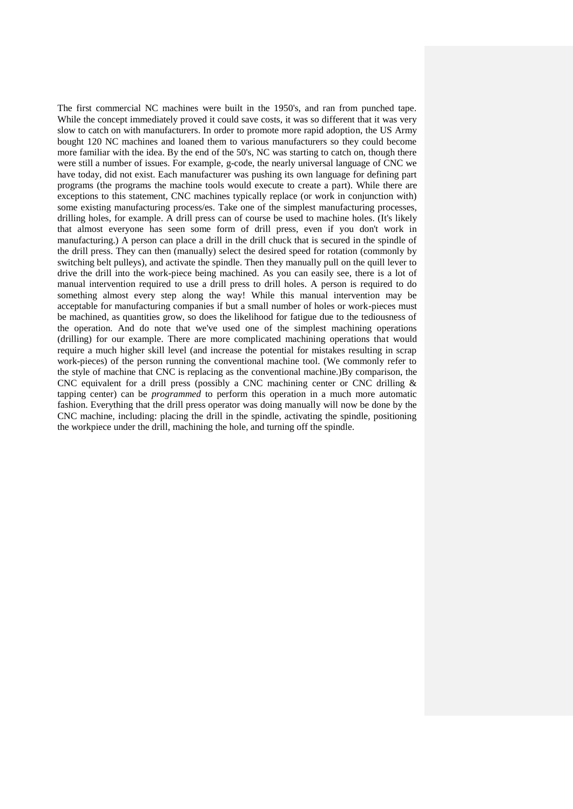The first commercial NC machines were built in the 1950's, and ran from punched tape. While the concept immediately proved it could save costs, it was so different that it was very slow to catch on with manufacturers. In order to promote more rapid adoption, the US Army bought 120 NC machines and loaned them to various manufacturers so they could become more familiar with the idea. By the end of the 50's, NC was starting to catch on, though there were still a number of issues. For example, [g-code,](http://www.cnccookbook.com/CCCNCGCodeCourse.htm) the nearly universal language of CNC we have today, did not exist. Each manufacturer was pushing its own language for defining part programs (the programs the machine tools would execute to create a part). While there are exceptions to this statement, CNC machines typically replace (or work in conjunction with) some existing manufacturing process/es. Take one of the simplest manufacturing processes, drilling holes, for example. A drill press can of course be used to machine holes. (It's likely that almost everyone has seen some form of drill press, even if you don't work in manufacturing.) A person can place a drill in the drill chuck that is secured in the spindle of the drill press. They can then (manually) select the desired speed for rotation (commonly by switching belt pulleys), and activate the spindle. Then they manually pull on the quill lever to drive the drill into the work-piece being machined. As you can easily see, there is a lot of manual intervention required to use a drill press to drill holes. A person is required to do something almost every step along the way! While this manual intervention may be acceptable for manufacturing companies if but a small number of holes or work-pieces must be machined, as quantities grow, so does the likelihood for fatigue due to the tediousness of the operation. And do note that we've used one of the simplest machining operations (drilling) for our example. There are more complicated machining operations that would require a much higher skill level (and increase the potential for mistakes resulting in scrap work-pieces) of the person running the conventional machine tool. (We commonly refer to the style of machine that CNC is replacing as the conventional machine.)By comparison, the CNC equivalent for a drill press (possibly a CNC machining center or CNC drilling  $\&$ tapping center) can be *programmed* to perform this operation in a much more automatic fashion. Everything that the drill press operator was doing manually will now be done by the CNC machine, including: placing the drill in the spindle, activating the spindle, positioning the workpiece under the drill, machining the hole, and turning off the spindle.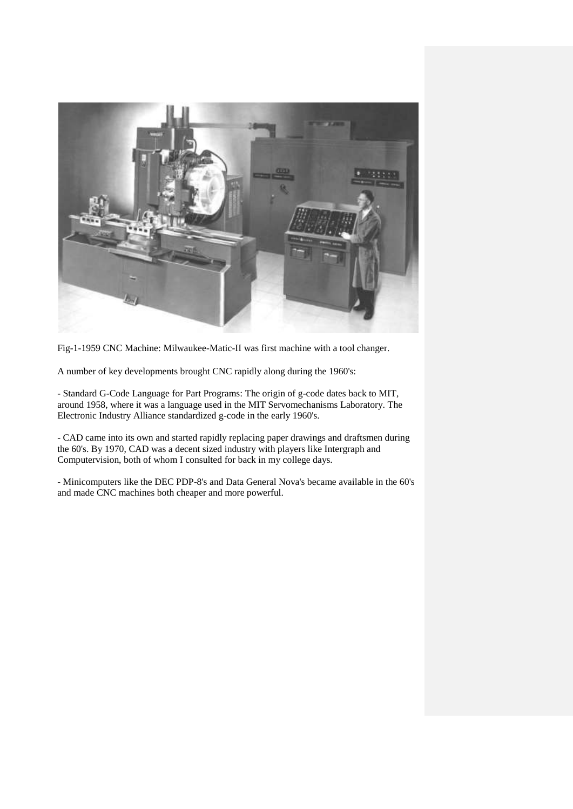

Fig-1-1959 CNC Machine: Milwaukee-Matic-II was first machine with a tool changer.

A number of key developments brought CNC rapidly along during the 1960's:

- Standard G-Code Language for Part Programs: The origin of g-code dates back to MIT, around 1958, where it was a language used in the MIT Servomechanisms Laboratory. The Electronic Industry Alliance standardized g-code in the early 1960's.

- CAD came into its own and started rapidly replacing paper drawings and draftsmen during the 60's. By 1970, CAD was a decent sized industry with players like Intergraph and Computervision, both of whom I consulted for back in my college days.

- Minicomputers like the DEC PDP-8's and Data General Nova's became available in the 60's and made CNC machines both cheaper and more powerful.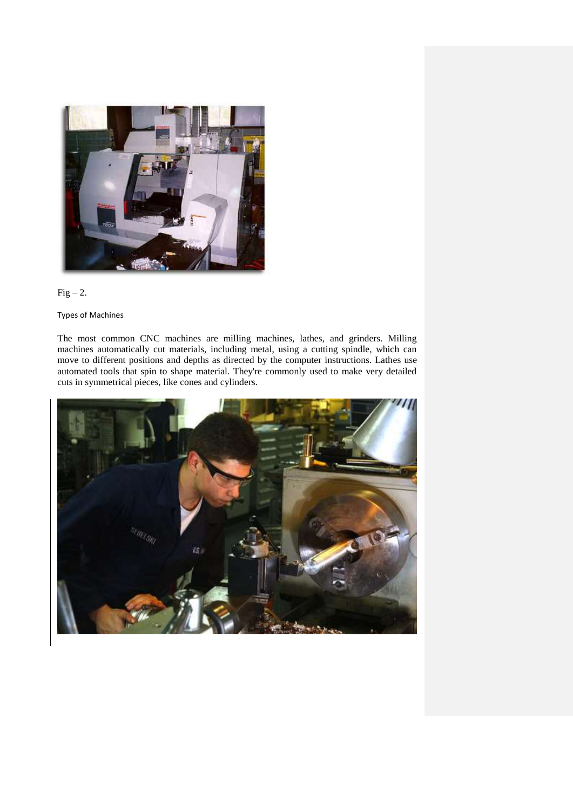



### Types of Machines

The most common CNC machines are milling machines, lathes, and grinders. Milling machines automatically cut materials, including metal, using a cutting spindle, which can move to different positions and depths as directed by the computer instructions. Lathes use automated tools that spin to shape material. They're commonly used to make very detailed cuts in symmetrical pieces, like cones and cylinders.

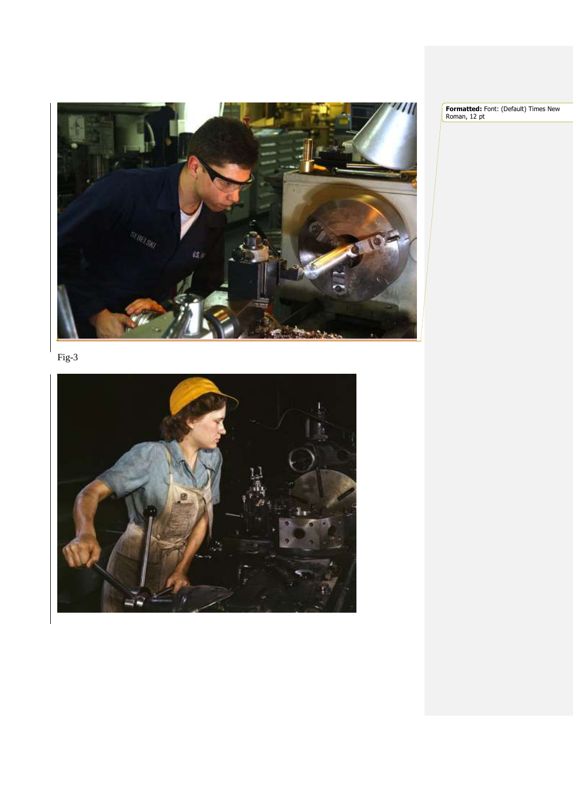

Fig-3

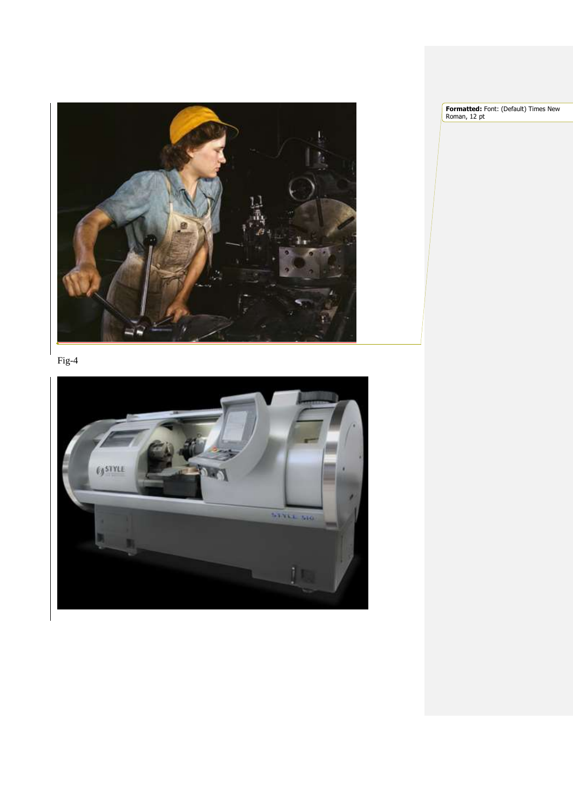

Fig-4

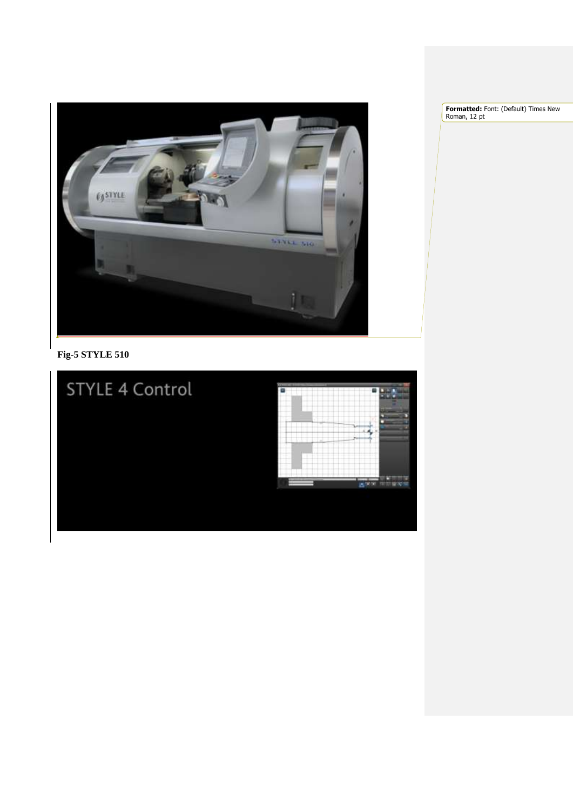

**Fig-5 STYLE 510**

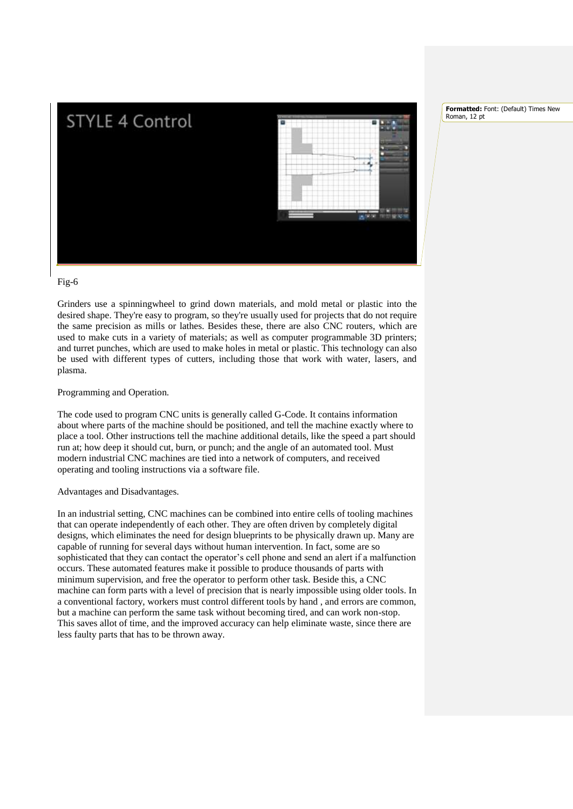

Fig-6

Grinders use a [spinningw](http://www.wisegeek.com/what-is-spinning.htm)heel to grind down materials, and mold metal or plastic into the desired shape. They're easy to program, so they're usually used for projects that do not require the same precision as mills or lathes. Besides these, there are also [CNC routers,](http://www.wisegeek.com/what-are-cnc-routers.htm) which are used to make cuts in a variety of materials; as well as computer programmable 3D printers; and turret punches, which are used to make holes in metal or plastic. This technology can also be used with different types of cutters, including those that work with water, lasers, and plasma.

Programming and Operation.

The code used to program CNC units is generally called G-Code. It contains information about where parts of the machine should be positioned, and tell the machine exactly where to place a tool. Other instructions tell the machine additional details, like the speed a part should run at; how deep it should cut, burn, or punch; and the angle of an automated tool. Must modern industrial CNC machines are tied into a network of computers, and received operating and tooling instructions via a software file.

Advantages and Disadvantages.

In an industrial setting, CNC machines can be combined into entire cells of tooling machines that can operate independently of each other. They are often driven by completely digital designs, which eliminates the need for design blueprints to be physically drawn up. Many are capable of running for several days without human intervention. In fact, some are so sophisticated that they can contact the operator's cell phone and send an alert if a malfunction occurs. These automated features make it possible to produce thousands of parts with minimum supervision, and free the operator to perform other task. Beside this, a CNC machine can form parts with a level of precision that is nearly impossible using older tools. In a conventional factory, workers must control different tools by hand , and errors are common, but a machine can perform the same task without becoming tired, and can work non-stop. This saves allot of time, and the improved accuracy can help eliminate waste, since there are less faulty parts that has to be thrown away.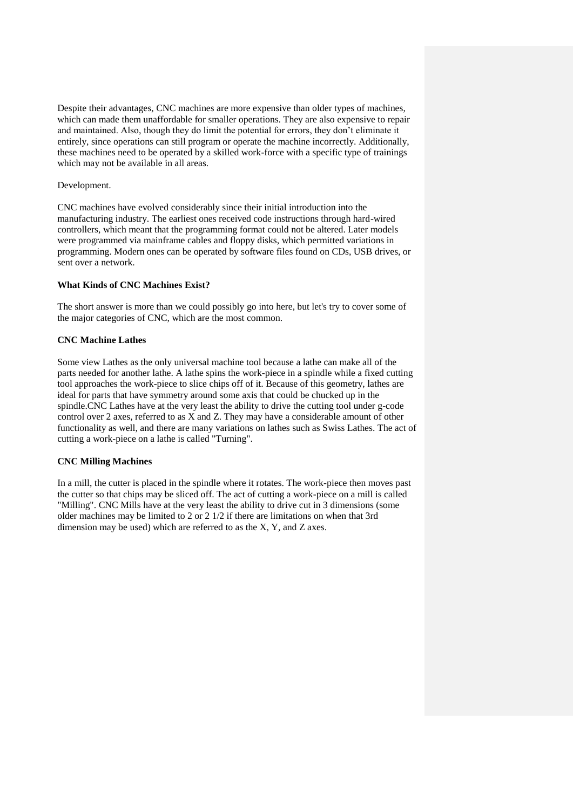Despite their advantages, CNC machines are more expensive than older types of machines, which can made them unaffordable for smaller operations. They are also expensive to repair and maintained. Also, though they do limit the potential for errors, they don't eliminate it entirely, since operations can still program or operate the machine incorrectly. Additionally, these machines need to be operated by a skilled work-force with a specific type of trainings which may not be available in all areas.

### Development.

CNC machines have evolved considerably since their initial introduction into the manufacturing industry. The earliest ones received code instructions through hard-wired controllers, which meant that the programming format could not be altered. Later models were programmed via mainframe cables and floppy disks, which permitted variations in programming. Modern ones can be operated by software files found on CDs, USB drives, or sent over a network.

### **What Kinds of CNC Machines Exist?**

The short answer is more than we could possibly go into here, but let's try to cover some of the major categories of CNC, which are the most common.

### **CNC Machine Lathes**

Some view Lathes as the only universal machine tool because a lathe can make all of the parts needed for another lathe. A lathe spins the work-piece in a spindle while a fixed cutting tool approaches the work-piece to slice chips off of it. Because of this geometry, lathes are ideal for parts that have symmetry around some axis that could be chucked up in the spindle.CNC Lathes have at the very least the ability to drive the cutting tool under g-code control over 2 axes, referred to as X and Z. They may have a considerable amount of other functionality as well, and there are many variations on lathes such as Swiss Lathes. The act of cutting a work-piece on a lathe is called "Turning".

## **CNC Milling Machines**

In a mill, the cutter is placed in the spindle where it rotates. The work-piece then moves past the cutter so that chips may be sliced off. The act of cutting a work-piece on a mill is called "Milling". CNC Mills have at the very least the ability to drive cut in 3 dimensions (some older machines may be limited to 2 or 2 1/2 if there are limitations on when that 3rd dimension may be used) which are referred to as the X, Y, and Z axes.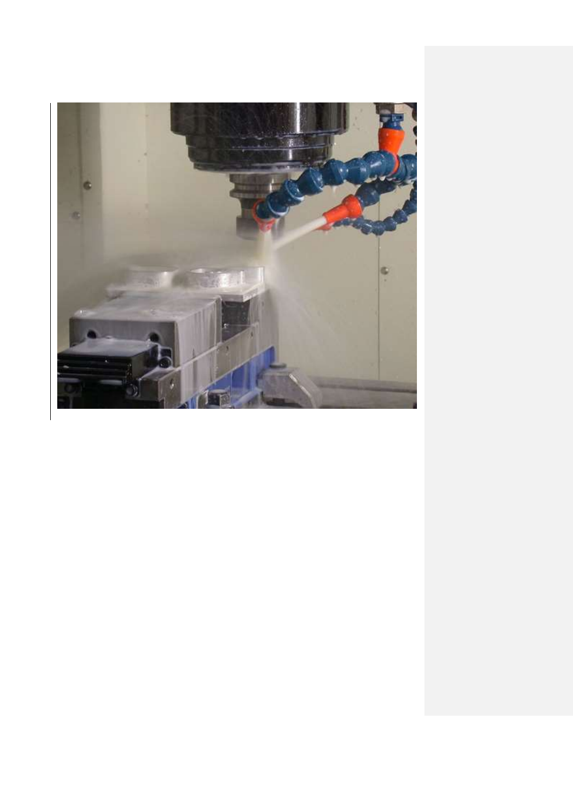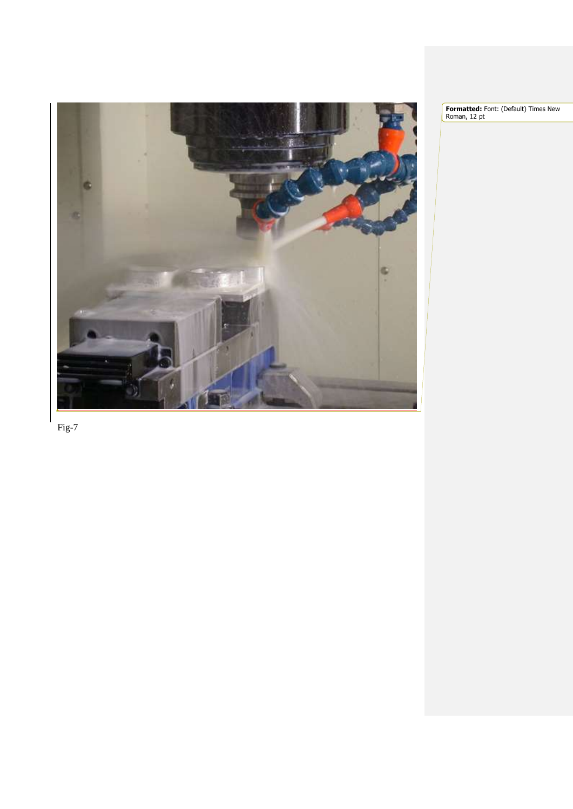

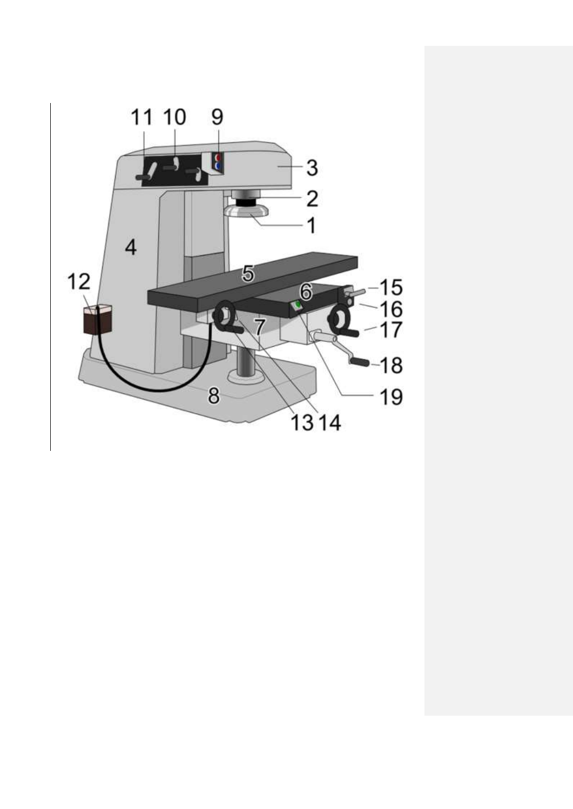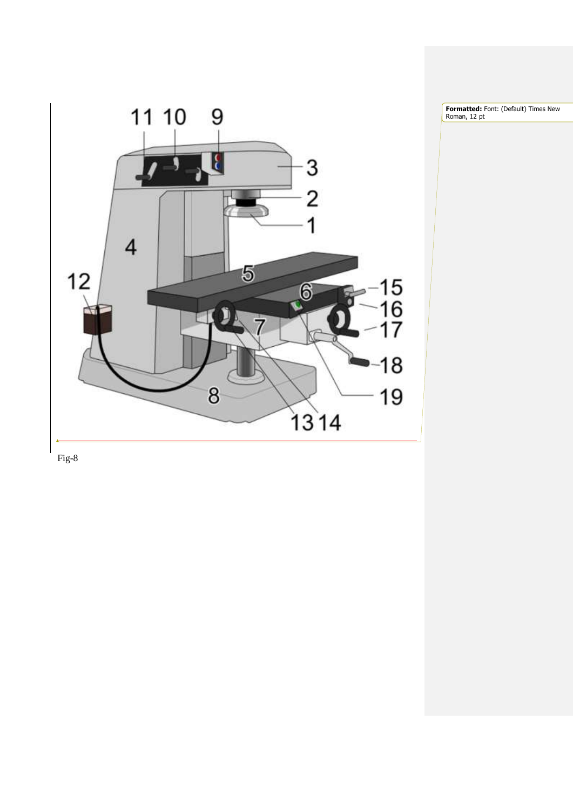

**Formatted:** Font: (Default) Times New

Roman, 12 pt

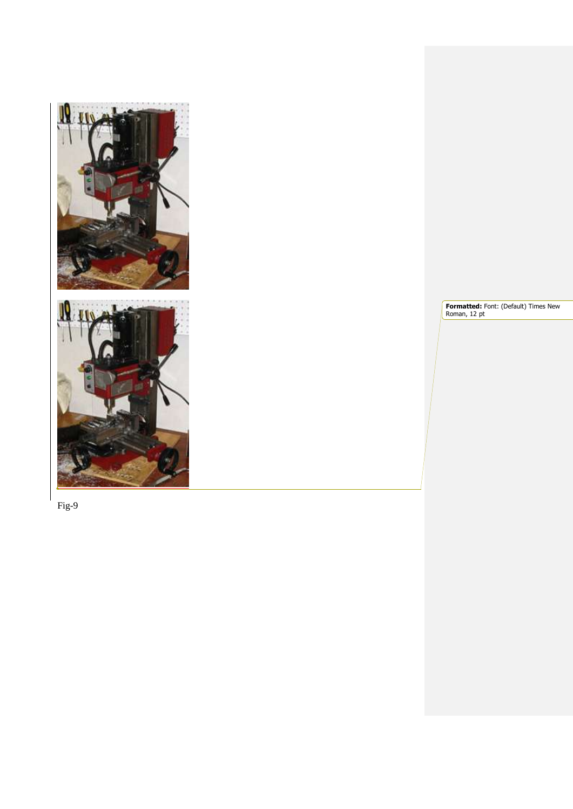

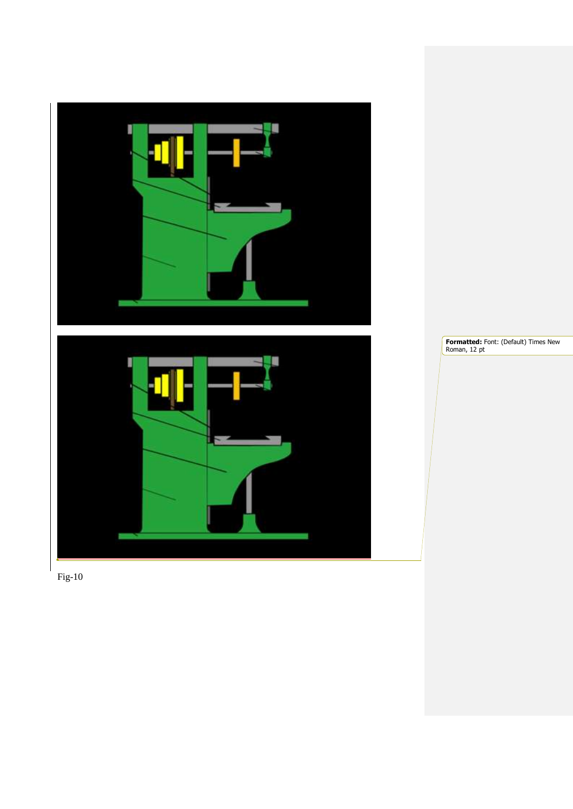

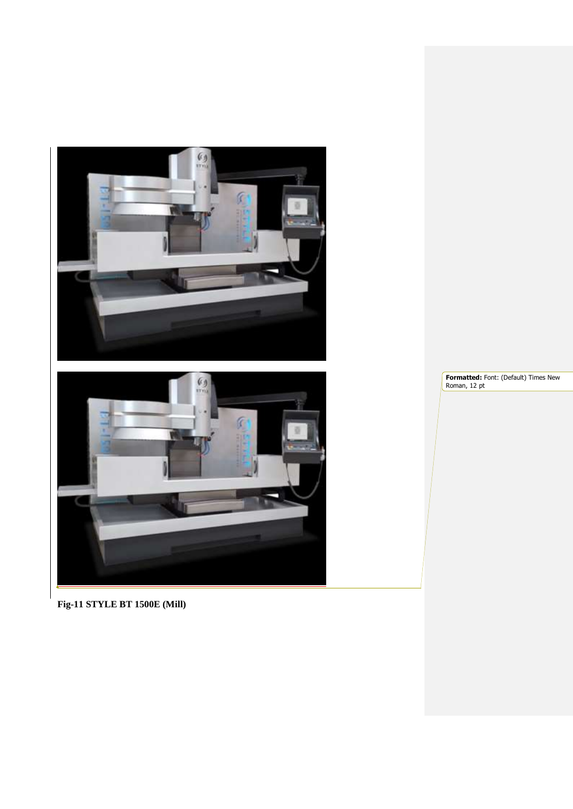



**Fig-11 STYLE BT 1500E (Mill)**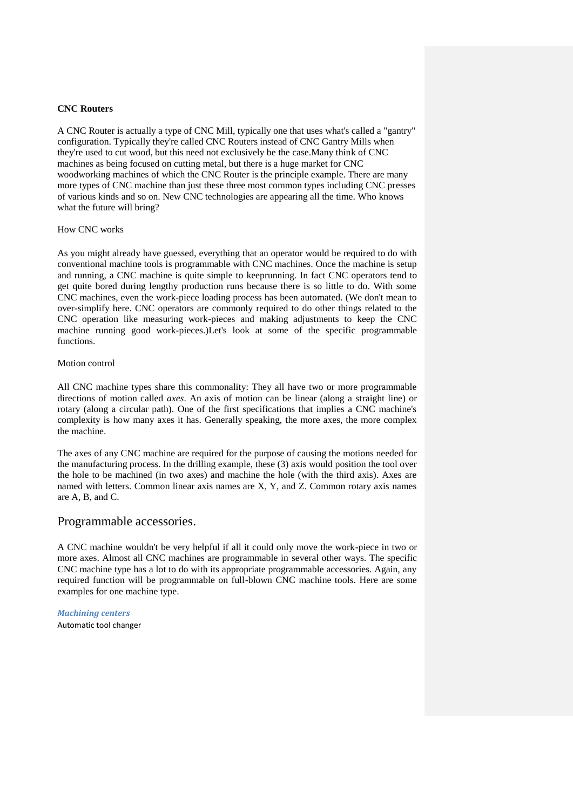#### **CNC Routers**

A CNC Router is actually a type of CNC Mill, typically one that uses what's called a "gantry" configuration. Typically they're called CNC Routers instead of CNC Gantry Mills when they're used to cut wood, but this need not exclusively be the case.Many think of CNC machines as being focused on cutting metal, but there is a huge market for CNC woodworking machines of which the CNC Router is the principle example. There are many more types of CNC machine than just these three most common types including CNC presses of various kinds and so on. New CNC technologies are appearing all the time. Who knows what the future will bring?

## How CNC works

As you might already have guessed, everything that an operator would be required to do with conventional machine tools is programmable with CNC machines. Once the machine is setup and running, a CNC machine is quite simple to keeprunning. In fact CNC operators tend to get quite bored during lengthy production runs because there is so little to do. With some CNC machines, even the work-piece loading process has been automated. (We don't mean to over-simplify here. CNC operators are commonly required to do other things related to the CNC operation like measuring work-pieces and making adjustments to keep the CNC machine running good work-pieces.)Let's look at some of the specific programmable functions.

#### Motion control

All CNC machine types share this commonality: They all have two or more programmable directions of motion called *axes*. An axis of motion can be linear (along a straight line) or rotary (along a circular path). One of the first specifications that implies a CNC machine's complexity is how many axes it has. Generally speaking, the more axes, the more complex the machine.

The axes of any CNC machine are required for the purpose of causing the motions needed for the manufacturing process. In the drilling example, these (3) axis would position the tool over the hole to be machined (in two axes) and machine the hole (with the third axis). Axes are named with letters. Common linear axis names are X, Y, and Z. Common rotary axis names are A, B, and C.

# Programmable accessories.

A CNC machine wouldn't be very helpful if all it could only move the work-piece in two or more axes. Almost all CNC machines are programmable in several other ways. The specific CNC machine type has a lot to do with its appropriate programmable accessories. Again, any required function will be programmable on full-blown CNC machine tools. Here are some examples for one machine type.

*Machining centers* Automatic tool changer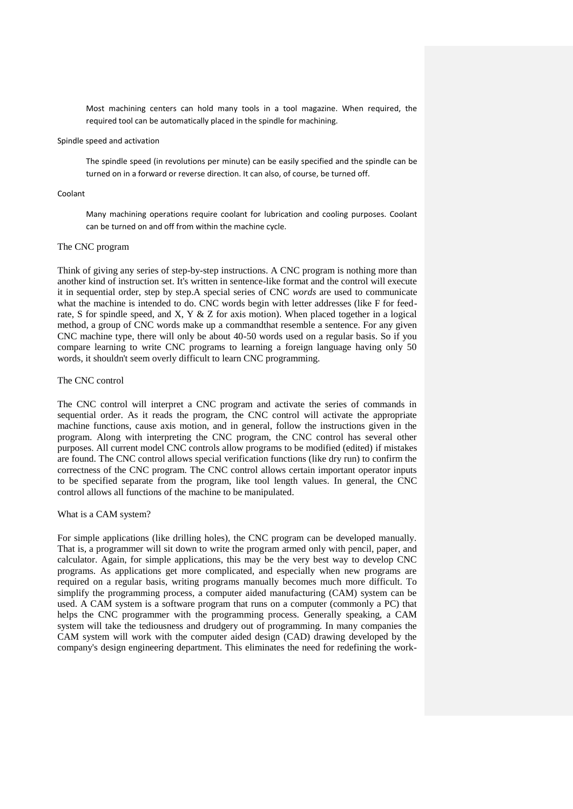Most machining centers can hold many tools in a tool magazine. When required, the required tool can be automatically placed in the spindle for machining.

#### Spindle speed and activation

The spindle speed (in revolutions per minute) can be easily specified and the spindle can be turned on in a forward or reverse direction. It can also, of course, be turned off.

#### Coolant

Many machining operations require coolant for lubrication and cooling purposes. Coolant can be turned on and off from within the machine cycle.

#### The CNC program

Think of giving any series of step-by-step instructions. A CNC program is nothing more than another kind of instruction set. It's written in sentence-like format and the control will execute it in sequential order, step by step.A special series of CNC *words* are used to communicate what the machine is intended to do. CNC words begin with letter addresses (like F for feedrate, S for spindle speed, and X, Y & Z for axis motion). When placed together in a logical method, a group of CNC words make up a commandthat resemble a sentence. For any given CNC machine type, there will only be about 40-50 words used on a regular basis. So if you compare learning to write CNC programs to learning a foreign language having only 50 words, it shouldn't seem overly difficult to learn CNC programming.

#### The CNC control

The CNC control will interpret a CNC program and activate the series of commands in sequential order. As it reads the program, the CNC control will activate the appropriate machine functions, cause axis motion, and in general, follow the instructions given in the program. Along with interpreting the CNC program, the CNC control has several other purposes. All current model CNC controls allow programs to be modified (edited) if mistakes are found. The CNC control allows special verification functions (like dry run) to confirm the correctness of the CNC program. The CNC control allows certain important operator inputs to be specified separate from the program, like tool length values. In general, the CNC control allows all functions of the machine to be manipulated.

#### What is a CAM system?

For simple applications (like drilling holes), the CNC program can be developed manually. That is, a programmer will sit down to write the program armed only with pencil, paper, and calculator. Again, for simple applications, this may be the very best way to develop CNC programs. As applications get more complicated, and especially when new programs are required on a regular basis, writing programs manually becomes much more difficult. To simplify the programming process, a computer aided manufacturing (CAM) system can be used. A CAM system is a software program that runs on a computer (commonly a PC) that helps the CNC programmer with the programming process. Generally speaking, a CAM system will take the tediousness and drudgery out of programming. In many companies the CAM system will work with the computer aided design (CAD) drawing developed by the company's design engineering department. This eliminates the need for redefining the work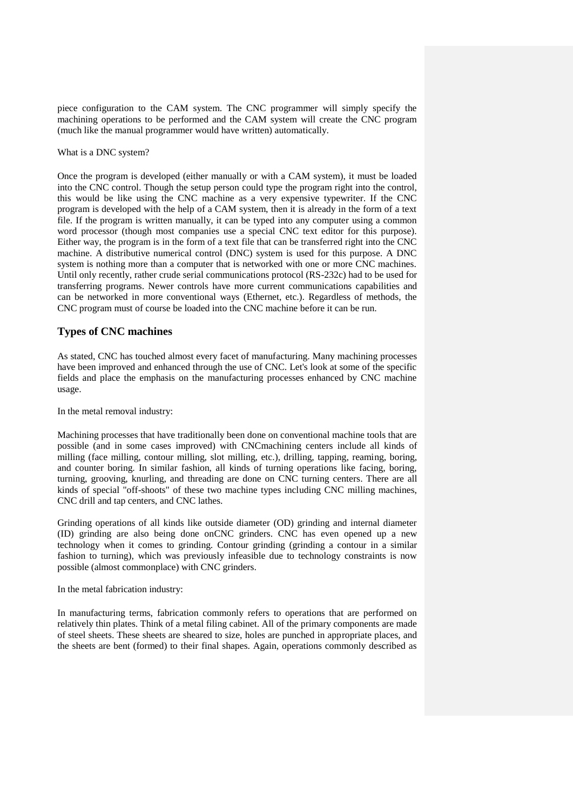piece configuration to the CAM system. The CNC programmer will simply specify the machining operations to be performed and the CAM system will create the CNC program (much like the manual programmer would have written) automatically.

What is a DNC system?

Once the program is developed (either manually or with a CAM system), it must be loaded into the CNC control. Though the setup person could type the program right into the control, this would be like using the CNC machine as a very expensive typewriter. If the CNC program is developed with the help of a CAM system, then it is already in the form of a text file. If the program is written manually, it can be typed into any computer using a common word processor (though most companies use a special CNC text editor for this purpose). Either way, the program is in the form of a text file that can be transferred right into the CNC machine. A distributive numerical control (DNC) system is used for this purpose. A DNC system is nothing more than a computer that is networked with one or more CNC machines. Until only recently, rather crude serial communications protocol (RS-232c) had to be used for transferring programs. Newer controls have more current communications capabilities and can be networked in more conventional ways (Ethernet, etc.). Regardless of methods, the CNC program must of course be loaded into the CNC machine before it can be run.

# **Types of CNC machines**

As stated, CNC has touched almost every facet of manufacturing. Many machining processes have been improved and enhanced through the use of CNC. Let's look at some of the specific fields and place the emphasis on the manufacturing processes enhanced by CNC machine usage.

In the metal removal industry:

Machining processes that have traditionally been done on conventional machine tools that are possible (and in some cases improved) with CNCmachining centers include all kinds of milling (face milling, contour milling, slot milling, etc.), drilling, tapping, reaming, boring, and counter boring. In similar fashion, all kinds of turning operations like facing, boring, turning, grooving, knurling, and threading are done on CNC turning centers. There are all kinds of special "off-shoots" of these two machine types including CNC milling machines, CNC drill and tap centers, and CNC lathes.

Grinding operations of all kinds like outside diameter (OD) grinding and internal diameter (ID) grinding are also being done onCNC grinders. CNC has even opened up a new technology when it comes to grinding. Contour grinding (grinding a contour in a similar fashion to turning), which was previously infeasible due to technology constraints is now possible (almost commonplace) with CNC grinders.

In the metal fabrication industry:

In manufacturing terms, fabrication commonly refers to operations that are performed on relatively thin plates. Think of a metal filing cabinet. All of the primary components are made of steel sheets. These sheets are sheared to size, holes are punched in appropriate places, and the sheets are bent (formed) to their final shapes. Again, operations commonly described as